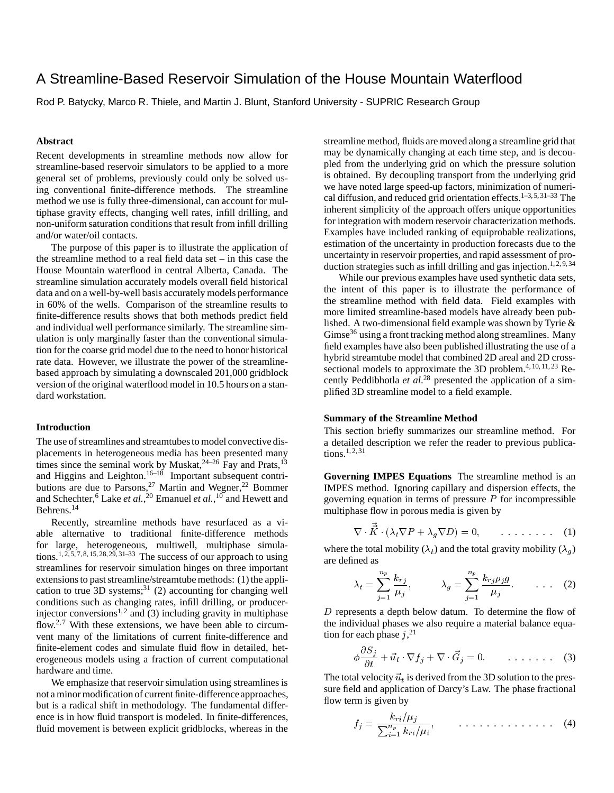# A Streamline-Based Reservoir Simulation of the House Mountain Waterflood

Rod P. Batycky, Marco R. Thiele, and Martin J. Blunt, Stanford University - SUPRIC Research Group

## **Abstract**

Recent developments in streamline methods now allow for streamline-based reservoir simulators to be applied to a more general set of problems, previously could only be solved using conventional finite-difference methods. The streamline method we use is fully three-dimensional, can account for multiphase gravity effects, changing well rates, infill drilling, and non-uniform saturation conditions that result from infill drilling and/or water/oil contacts.

The purpose of this paper is to illustrate the application of the streamline method to a real field data set – in this case the House Mountain waterflood in central Alberta, Canada. The streamline simulation accurately models overall field historical data and on a well-by-well basis accurately models performance in 60% of the wells. Comparison of the streamline results to finite-difference results shows that both methods predict field and individual well performance similarly. The streamline simulation is only marginally faster than the conventional simulation for the coarse grid model due to the need to honor historical rate data. However, we illustrate the power of the streamlinebased approach by simulating a downscaled 201,000 gridblock version of the original waterflood model in 10.5 hours on a standard workstation.

#### **Introduction**

The use of streamlines and streamtubes to model convective displacements in heterogeneous media has been presented many times since the seminal work by Muskat,  $24-26$  Fay and Prats,  $13$ and Higgins and Leighton.<sup>16–18</sup> Important subsequent contributions are due to Parsons,<sup>27</sup> Martin and Wegner,<sup>22</sup> Bommer and Schechter,<sup>6</sup> Lake *et al.*, <sup>20</sup> Emanuel *et al.*, <sup>10</sup> and Hewett and Behrens.<sup>14</sup>

Recently, streamline methods have resurfaced as a viable alternative to traditional finite-difference methods for large, heterogeneous, multiwell, multiphase simulations.<sup>1, 2, 5, 7, 8, 15, 28, 29, 31–33</sup> The success of our approach to using streamlines for reservoir simulation hinges on three important extensions to past streamline/streamtube methods: (1) the application to true  $3D$  systems;<sup>31</sup> (2) accounting for changing well conditions such as changing rates, infill drilling, or producerinjector conversions<sup>1, 2</sup> and  $\tilde{a}$  (3) including gravity in multiphase flow.<sup>2,7</sup> With these extensions, we have been able to circumvent many of the limitations of current finite-difference and finite-element codes and simulate fluid flow in detailed, heterogeneous models using a fraction of current computational hardware and time.

We emphasize that reservoir simulation using streamlines is not a minor modification of current finite-differenceapproaches, but is a radical shift in methodology. The fundamental difference is in how fluid transport is modeled. In finite-differences, fluid movement is between explicit gridblocks, whereas in the streamline method, fluids are moved along a streamline grid that may be dynamically changing at each time step, and is decoupled from the underlying grid on which the pressure solution is obtained. By decoupling transport from the underlying grid we have noted large speed-up factors, minimization of numerical diffusion, and reduced grid orientation effects.<sup>1–3, 5, 31–33</sup> The inherent simplicity of the approach offers unique opportunities for integration with modern reservoir characterization methods. Examples have included ranking of equiprobable realizations, estimation of the uncertainty in production forecasts due to the uncertainty in reservoir properties, and rapid assessment of production strategies such as infill drilling and gas injection.<sup>1, 2, 9, 34</sup>

While our previous examples have used synthetic data sets, the intent of this paper is to illustrate the performance of the streamline method with field data. Field examples with more limited streamline-based models have already been published. A two-dimensional field example was shown by Tyrie & Gimse<sup>36</sup> using a front tracking method along streamlines. Many field examples have also been published illustrating the use of a hybrid streamtube model that combined 2D areal and 2D crosssectional models to approximate the 3D problem.<sup>4, 10, 11, 23</sup> Recently Peddibhotla *et al*. <sup>28</sup> presented the application of a simplified 3D streamline model to a field example.

# **Summary of the Streamline Method**

This section briefly summarizes our streamline method. For a detailed description we refer the reader to previous publications.1, 2, 31

**Governing IMPES Equations** The streamline method is an IMPES method. Ignoring capillary and dispersion effects, the governing equation in terms of pressure  *for incompressible* multiphase flow in porous media is given by

$$
\nabla \cdot \vec{K} \cdot (\lambda_t \nabla P + \lambda_g \nabla D) = 0, \qquad \dots \dots \dots \tag{1}
$$

where the total mobility  $(\lambda_t)$  and the total gravity mobility  $(\lambda_a)$ are defined as

$$
\lambda_t = \sum_{j=1}^{n_p} \frac{k_{rj}}{\mu_j}, \qquad \lambda_g = \sum_{j=1}^{n_p} \frac{k_{rj}\rho_j g}{\mu_j}.
$$
 (2)

D represents a depth below datum. To determine the flow of the individual phases we also require a material balance equation for each phase  $j$ ,<sup>21</sup>

$$
\phi \frac{\partial S_j}{\partial t} + \vec{u}_t \cdot \nabla f_j + \nabla \cdot \vec{G}_j = 0. \qquad \dots \dots \tag{3}
$$

The total velocity  $\vec{u}_t$  is derived from the 3D solution to the pressure field and application of Darcy's Law. The phase fractional flow term is given by

$$
f_j = \frac{k_{ri}/\mu_j}{\sum_{i=1}^{n_p} k_{ri}/\mu_i}, \qquad \ldots \ldots \ldots \ldots \ldots \ldots \qquad (4)
$$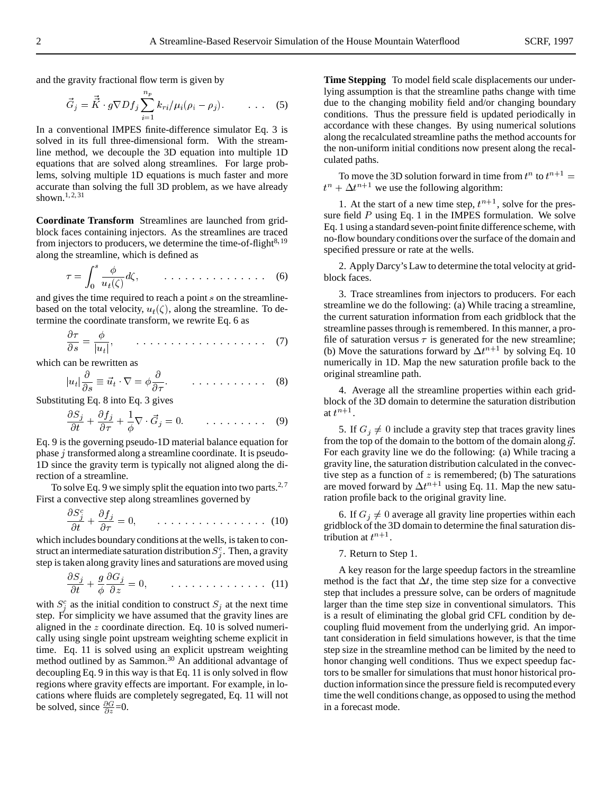and the gravity fractional flow term is given by

$$
\vec{G}_j = \vec{\tilde{K}} \cdot g \nabla D f_j \sum_{i=1}^{n_p} k_{ri} / \mu_i (\rho_i - \rho_j). \tag{5}
$$

In a conventional IMPES finite-difference simulator Eq. 3 is solved in its full three-dimensional form. With the streamline method, we decouple the 3D equation into multiple 1D equations that are solved along streamlines. For large problems, solving multiple 1D equations is much faster and more accurate than solving the full 3D problem, as we have already shown.<sup>1, 2, 31</sup>

**Coordinate Transform** Streamlines are launched from gridblock faces containing injectors. As the streamlines are traced from injectors to producers, we determine the time-of-flight $8,19$ along the streamline, which is defined as

$$
\tau = \int_0^s \frac{\phi}{u_t(\zeta)} d\zeta, \qquad \ldots \ldots \ldots \ldots \ldots \ldots \qquad (6)
$$

and gives the time required to reach a point s on the streamlinebased on the total velocity,  $u_t(\zeta)$ , along the streamline. To determine the coordinate transform, we rewrite Eq. 6 as

$$
\frac{\partial \tau}{\partial s} = \frac{\phi}{|u_t|}, \qquad \ldots \ldots \ldots \ldots \ldots \ldots \ldots \ldots \tag{7}
$$

which can be rewritten as

$$
|u_t|\frac{\partial}{\partial s}\equiv \vec{u}_t\cdot\nabla=\phi\frac{\partial}{\partial \tau}.\qquad\qquad \ldots\ldots\ldots\ldots\ldots \qquad (8)
$$

Substituting Eq. 8 into Eq. 3 gives

$$
\frac{\partial S_j}{\partial t} + \frac{\partial f_j}{\partial \tau} + \frac{1}{\phi} \nabla \cdot \vec{G}_j = 0. \qquad \dots \dots \dots \tag{9}
$$

Eq. 9 is the governing pseudo-1D material balance equation for phase <sup>j</sup> transformed along a streamline coordinate. It is pseudo-1D since the gravity term is typically not aligned along the direction of a streamline.

To solve Eq. 9 we simply split the equation into two parts.<sup>2,7</sup> First a convective step along streamlines governed by

$$
\frac{\partial S_j^c}{\partial t} + \frac{\partial f_j}{\partial \tau} = 0, \qquad \dots \dots \dots \dots \dots \dots \tag{10}
$$

which includes boundary conditions at the wells, is taken to construct an intermediate saturation distribution  $S_j^c$ . Then, a gravity step is taken along gravity lines and saturations are moved using

$$
\frac{\partial S_j}{\partial t} + \frac{g}{\phi} \frac{\partial G_j}{\partial z} = 0, \qquad \dots \dots \dots \dots \dots \dots \tag{11}
$$

with  $S_j^c$  as the initial condition to construct  $S_j$  at the next time step. For simplicity we have assumed that the gravity lines are aligned in the <sup>z</sup> coordinate direction. Eq. 10 is solved numerically using single point upstream weighting scheme explicit in time. Eq. 11 is solved using an explicit upstream weighting method outlined by as Sammon.<sup>30</sup> An additional advantage of decoupling Eq. 9 in this way is that Eq. 11 is only solved in flow regions where gravity effects are important. For example, in locations where fluids are completely segregated, Eq. 11 will not be solved, since  $\frac{\partial G}{\partial z} = 0$ .

**Time Stepping** To model field scale displacements our underlying assumption is that the streamline paths change with time due to the changing mobility field and/or changing boundary conditions. Thus the pressure field is updated periodically in accordance with these changes. By using numerical solutions along the recalculated streamline paths the method accounts for the non-uniform initial conditions now present along the recalculated paths.

To move the 3D solution forward in time from  $t^n$  to  $t^{n+1} =$  $t^{n} + \Delta t^{n+1}$  we use the following algorithm:

1. At the start of a new time step,  $t^{n+1}$ , solve for the pressure field  $P$  using Eq. 1 in the IMPES formulation. We solve Eq. 1 using a standard seven-point finite difference scheme, with no-flow boundary conditions over the surface of the domain and specified pressure or rate at the wells.

2. Apply Darcy's Law to determine the total velocity at gridblock faces.

3. Trace streamlines from injectors to producers. For each streamline we do the following: (a) While tracing a streamline, the current saturation information from each gridblock that the streamline passes through is remembered. In this manner, a profile of saturation versus  $\tau$  is generated for the new streamline; (b) Move the saturations forward by  $\Delta t^{n+1}$  by solving Eq. 10 numerically in 1D. Map the new saturation profile back to the original streamline path.

4. Average all the streamline properties within each gridblock of the 3D domain to determine the saturation distribution at  $t^{n+1}$ .

5. If  $G_i \neq 0$  include a gravity step that traces gravity lines from the top of the domain to the bottom of the domain along  $\vec{g}$ . For each gravity line we do the following: (a) While tracing a gravity line, the saturation distribution calculated in the convective step as a function of  $z$  is remembered; (b) The saturations are moved forward by  $\Delta t^{n+1}$  using Eq. 11. Map the new saturation profile back to the original gravity line.

6. If  $G_i \neq 0$  average all gravity line properties within each gridblock of the 3D domain to determine the final saturation distribution at  $t^{n+1}$ .

#### 7. Return to Step 1.

A key reason for the large speedup factors in the streamline method is the fact that  $\Delta t$ , the time step size for a convective step that includes a pressure solve, can be orders of magnitude larger than the time step size in conventional simulators. This is a result of eliminating the global grid CFL condition by decoupling fluid movement from the underlying grid. An important consideration in field simulations however, is that the time step size in the streamline method can be limited by the need to honor changing well conditions. Thus we expect speedup factors to be smaller for simulations that must honor historical production information since the pressure field is recomputed every time the well conditions change, as opposed to using the method in a forecast mode.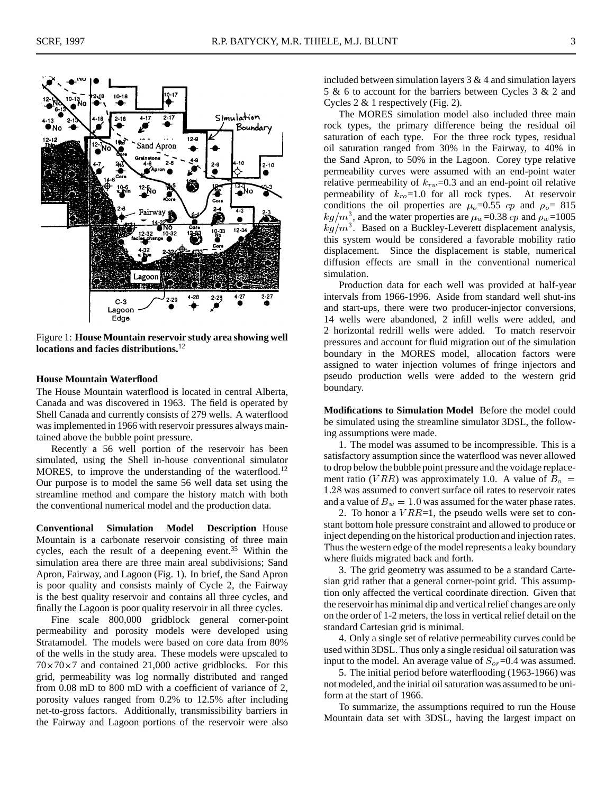

Figure 1: **House Mountain reservoir study area showing well locations and facies distributions.**<sup>12</sup>

# **House Mountain Waterflood**

The House Mountain waterflood is located in central Alberta, Canada and was discovered in 1963. The field is operated by Shell Canada and currently consists of 279 wells. A waterflood was implemented in 1966 with reservoir pressures always maintained above the bubble point pressure.

Recently a 56 well portion of the reservoir has been simulated, using the Shell in-house conventional simulator MORES, to improve the understanding of the waterflood.<sup>12</sup> Our purpose is to model the same 56 well data set using the streamline method and compare the history match with both the conventional numerical model and the production data.

**Conventional Simulation Model Description** House Mountain is a carbonate reservoir consisting of three main cycles, each the result of a deepening event.<sup>35</sup> Within the simulation area there are three main areal subdivisions; Sand Apron, Fairway, and Lagoon (Fig. 1). In brief, the Sand Apron is poor quality and consists mainly of Cycle 2, the Fairway is the best quality reservoir and contains all three cycles, and finally the Lagoon is poor quality reservoir in all three cycles.

Fine scale 800,000 gridblock general corner-point permeability and porosity models were developed using Stratamodel. The models were based on core data from 80% of the wells in the study area. These models were upscaled to  $70\times70\times7$  and contained 21,000 active gridblocks. For this grid, permeability was log normally distributed and ranged from 0.08 mD to 800 mD with a coefficient of variance of 2, porosity values ranged from 0.2% to 12.5% after including net-to-gross factors. Additionally, transmissibility barriers in the Fairway and Lagoon portions of the reservoir were also included between simulation layers  $3 & 4$  and simulation layers 5 & 6 to account for the barriers between Cycles 3 & 2 and Cycles 2 & 1 respectively (Fig. 2).

The MORES simulation model also included three main rock types, the primary difference being the residual oil saturation of each type. For the three rock types, residual oil saturation ranged from 30% in the Fairway, to 40% in the Sand Apron, to 50% in the Lagoon. Corey type relative permeability curves were assumed with an end-point water relative permeability of  $k_{rw}$ =0.3 and an end-point oil relative permeability of  $k_{ro}$ =1.0 for all rock types. At reservoir conditions the oil properties are  $\mu_o=0.55$  cp and  $\rho_o= 815$  $kg/m<sup>3</sup>$ , and the water properties are  $\mu_w$ =0.38 cp and  $\rho_w$ =1005  $kg/m<sup>3</sup>$ . Based on a Buckley-Leverett displacement analysis, this system would be considered a favorable mobility ratio displacement. Since the displacement is stable, numerical diffusion effects are small in the conventional numerical simulation.

Production data for each well was provided at half-year intervals from 1966-1996. Aside from standard well shut-ins and start-ups, there were two producer-injector conversions, 14 wells were abandoned, 2 infill wells were added, and 2 horizontal redrill wells were added. To match reservoir pressures and account for fluid migration out of the simulation boundary in the MORES model, allocation factors were assigned to water injection volumes of fringe injectors and pseudo production wells were added to the western grid boundary.

**Modifications to Simulation Model** Before the model could be simulated using the streamline simulator 3DSL, the following assumptions were made.

1. The model was assumed to be incompressible. This is a satisfactory assumption since the waterflood was never allowed to drop below the bubble point pressure and the voidage replacement ratio (VRR) was approximately 1.0. A value of  $B<sub>o</sub> =$ <sup>1</sup>:28 was assumed to convert surface oil rates to reservoir rates and a value of  $B_w = 1.0$  was assumed for the water phase rates.

2. To honor a  $VRR=1$ , the pseudo wells were set to constant bottom hole pressure constraint and allowed to produce or inject depending on the historical production and injection rates. Thus the western edge of the model represents a leaky boundary where fluids migrated back and forth.

3. The grid geometry was assumed to be a standard Cartesian grid rather that a general corner-point grid. This assumption only affected the vertical coordinate direction. Given that the reservoir has minimal dip and vertical relief changes are only on the order of 1-2 meters, the loss in vertical relief detail on the standard Cartesian grid is minimal.

4. Only a single set of relative permeability curves could be used within 3DSL. Thus only a single residual oil saturation was input to the model. An average value of  $S_{or}$ =0.4 was assumed.

5. The initial period before waterflooding (1963-1966) was not modeled, and the initial oil saturation was assumed to be uniform at the start of 1966.

To summarize, the assumptions required to run the House Mountain data set with 3DSL, having the largest impact on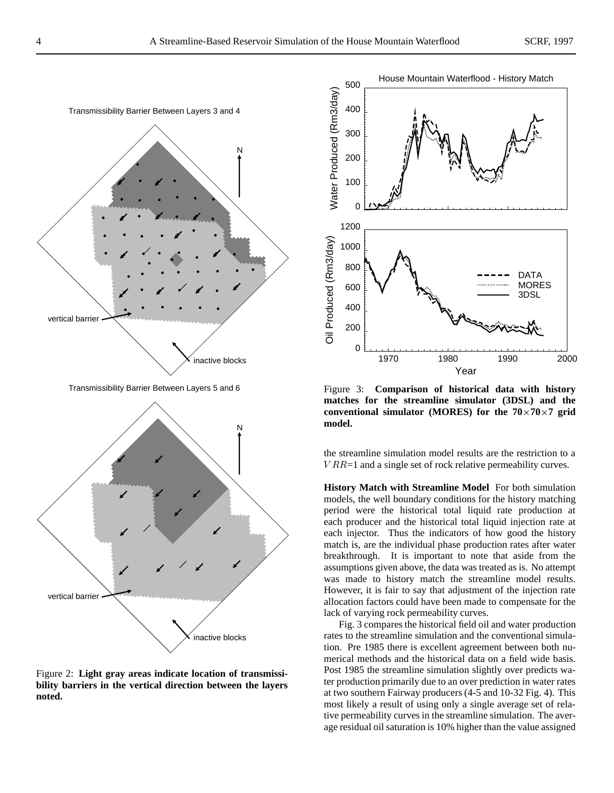

Figure 2: **Light gray areas indicate location of transmissibility barriers in the vertical direction between the layers noted.**



Figure 3: **Comparison of historical data with history matches for the streamline simulator (3DSL) and the** conventional simulator (MORES) for the  $70 \times 70 \times 7$  grid **model.**

the streamline simulation model results are the restriction to a  $VRR=1$  and a single set of rock relative permeability curves.

**History Match with Streamline Model** For both simulation models, the well boundary conditions for the history matching period were the historical total liquid rate production at each producer and the historical total liquid injection rate at each injector. Thus the indicators of how good the history match is, are the individual phase production rates after water breakthrough. It is important to note that aside from the assumptions given above, the data was treated as is. No attempt was made to history match the streamline model results. However, it is fair to say that adjustment of the injection rate allocation factors could have been made to compensate for the lack of varying rock permeability curves.

Fig. 3 compares the historical field oil and water production rates to the streamline simulation and the conventional simulation. Pre 1985 there is excellent agreement between both numerical methods and the historical data on a field wide basis. Post 1985 the streamline simulation slightly over predicts water production primarily due to an over prediction in water rates at two southern Fairway producers (4-5 and 10-32 Fig. 4). This most likely a result of using only a single average set of relative permeability curves in the streamline simulation. The average residual oil saturation is 10% higher than the value assigned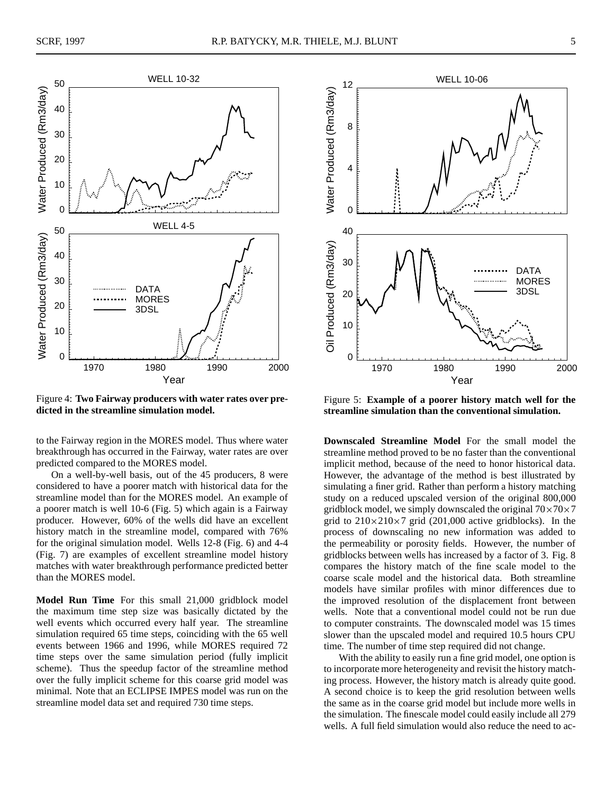



Figure 4: **Two Fairway producers with water rates over predicted in the streamline simulation model.**

to the Fairway region in the MORES model. Thus where water breakthrough has occurred in the Fairway, water rates are over predicted compared to the MORES model.

On a well-by-well basis, out of the 45 producers, 8 were considered to have a poorer match with historical data for the streamline model than for the MORES model. An example of a poorer match is well 10-6 (Fig. 5) which again is a Fairway producer. However, 60% of the wells did have an excellent history match in the streamline model, compared with 76% for the original simulation model. Wells 12-8 (Fig. 6) and 4-4 (Fig. 7) are examples of excellent streamline model history matches with water breakthrough performance predicted better than the MORES model.

**Model Run Time** For this small 21,000 gridblock model the maximum time step size was basically dictated by the well events which occurred every half year. The streamline simulation required 65 time steps, coinciding with the 65 well events between 1966 and 1996, while MORES required 72 time steps over the same simulation period (fully implicit scheme). Thus the speedup factor of the streamline method over the fully implicit scheme for this coarse grid model was minimal. Note that an ECLIPSE IMPES model was run on the streamline model data set and required 730 time steps.



Figure 5: **Example of a poorer history match well for the streamline simulation than the conventional simulation.**

**Downscaled Streamline Model** For the small model the streamline method proved to be no faster than the conventional implicit method, because of the need to honor historical data. However, the advantage of the method is best illustrated by simulating a finer grid. Rather than perform a history matching study on a reduced upscaled version of the original 800,000 gridblock model, we simply downscaled the original  $70\times70\times7$ grid to  $210\times210\times7$  grid (201,000 active gridblocks). In the process of downscaling no new information was added to the permeability or porosity fields. However, the number of gridblocks between wells has increased by a factor of 3. Fig. 8 compares the history match of the fine scale model to the coarse scale model and the historical data. Both streamline models have similar profiles with minor differences due to the improved resolution of the displacement front between wells. Note that a conventional model could not be run due to computer constraints. The downscaled model was 15 times slower than the upscaled model and required 10.5 hours CPU time. The number of time step required did not change.

With the ability to easily run a fine grid model, one option is to incorporate more heterogeneity and revisit the history matching process. However, the history match is already quite good. A second choice is to keep the grid resolution between wells the same as in the coarse grid model but include more wells in the simulation. The finescale model could easily include all 279 wells. A full field simulation would also reduce the need to ac-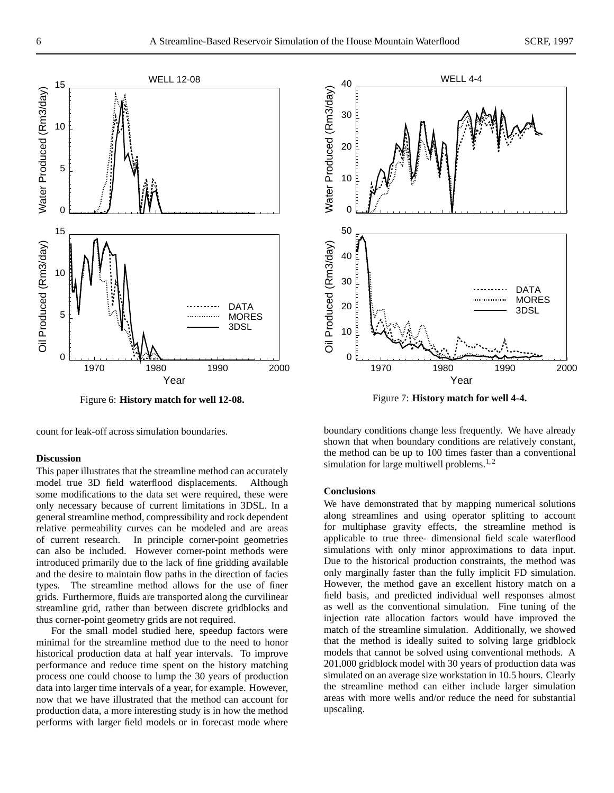

Figure 6: **History match for well 12-08.**

count for leak-off across simulation boundaries.

#### **Discussion**

This paper illustrates that the streamline method can accurately model true 3D field waterflood displacements. Although some modifications to the data set were required, these were only necessary because of current limitations in 3DSL. In a general streamline method, compressibility and rock dependent relative permeability curves can be modeled and are areas of current research. In principle corner-point geometries can also be included. However corner-point methods were introduced primarily due to the lack of fine gridding available and the desire to maintain flow paths in the direction of facies types. The streamline method allows for the use of finer grids. Furthermore, fluids are transported along the curvilinear streamline grid, rather than between discrete gridblocks and thus corner-point geometry grids are not required.

For the small model studied here, speedup factors were minimal for the streamline method due to the need to honor historical production data at half year intervals. To improve performance and reduce time spent on the history matching process one could choose to lump the 30 years of production data into larger time intervals of a year, for example. However, now that we have illustrated that the method can account for production data, a more interesting study is in how the method performs with larger field models or in forecast mode where



Figure 7: **History match for well 4-4.**

boundary conditions change less frequently. We have already shown that when boundary conditions are relatively constant, the method can be up to 100 times faster than a conventional simulation for large multiwell problems.<sup>1,2</sup>

#### **Conclusions**

We have demonstrated that by mapping numerical solutions along streamlines and using operator splitting to account for multiphase gravity effects, the streamline method is applicable to true three- dimensional field scale waterflood simulations with only minor approximations to data input. Due to the historical production constraints, the method was only marginally faster than the fully implicit FD simulation. However, the method gave an excellent history match on a field basis, and predicted individual well responses almost as well as the conventional simulation. Fine tuning of the injection rate allocation factors would have improved the match of the streamline simulation. Additionally, we showed that the method is ideally suited to solving large gridblock models that cannot be solved using conventional methods. A 201,000 gridblock model with 30 years of production data was simulated on an average size workstation in 10.5 hours. Clearly the streamline method can either include larger simulation areas with more wells and/or reduce the need for substantial upscaling.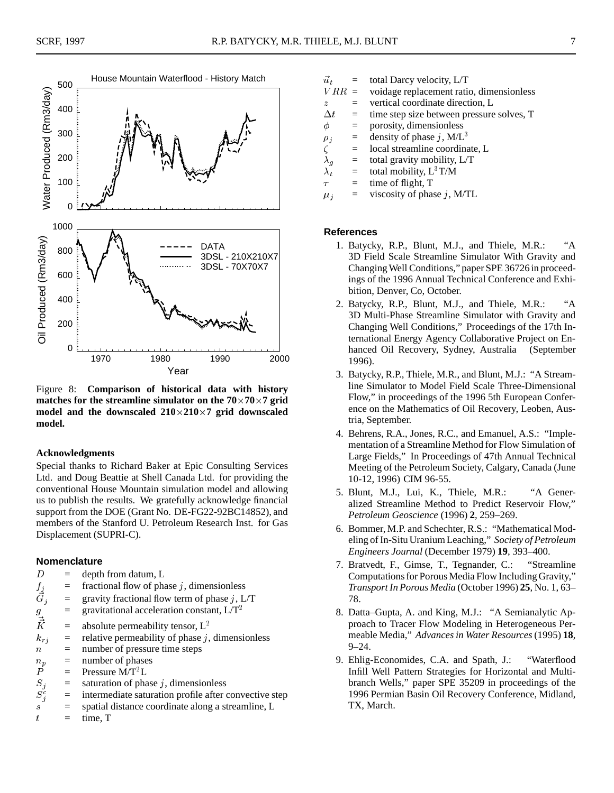

Figure 8: **Comparison of historical data with history** matches for the streamline simulator on the  $70 \times 70 \times 7$  grid **model and the downscaled 210**-**210**-**7 grid downscaled model.**

#### **Acknowledgments**

Special thanks to Richard Baker at Epic Consulting Services Ltd. and Doug Beattie at Shell Canada Ltd. for providing the conventional House Mountain simulation model and allowing us to publish the results. We gratefully acknowledge financial support from the DOE (Grant No. DE-FG22-92BC14852), and members of the Stanford U. Petroleum Research Inst. for Gas Displacement (SUPRI-C).

## **Nomenclature**

| D                       | $=$ | depth from datum, L                                   |
|-------------------------|-----|-------------------------------------------------------|
|                         | $=$ | fractional flow of phase $j$ , dimensionless          |
| $\frac{f_j}{\vec{G}_j}$ | $=$ | gravity fractional flow term of phase $j$ , L/T       |
| $\mathfrak{g}$          | $=$ | gravitational acceleration constant, $L/T^2$          |
| $\vec{\vec{K}}$         | $=$ | absolute permeability tensor, $L^2$                   |
| $k_{rj}$                | $=$ | relative permeability of phase $j$ , dimensionless    |
| $\boldsymbol{n}$        | $=$ | number of pressure time steps                         |
| $n_p$                   | $=$ | number of phases                                      |
| $\boldsymbol{P}$        | $=$ | Pressure $M/T^2L$                                     |
| $S_j$                   | $=$ | saturation of phase $j$ , dimensionless               |
| $S_i^c$                 | $=$ | intermediate saturation profile after convective step |
| $\mathcal{S}$           | $=$ | spatial distance coordinate along a streamline, L     |
|                         |     |                                                       |

ŧ time, T t

- $\vec{u}_t$  = total Darcy velocity, L/T
- V RR= voidage replacement ratio, dimensionless
- z= vertical coordinate direction, L
- $\Delta t$  = time step size between pressure solves, T
- $\phi$ = porosity, dimensionless
- $\rho_j$  = density of phase j, M/L<sup>3</sup>
- $\zeta$ = local streamline coordinate, L
- $\lambda_q$  = total gravity mobility, L/T
- $\lambda_t$  = total mobility, L<sup>3</sup>T/M
- $\tau$  $=$  time of flight, T
- $\mu_i$  = viscosity of phase j, M/TL

## **References**

- 1. Batycky, R.P., Blunt, M.J., and Thiele, M.R.: "A 3D Field Scale Streamline Simulator With Gravity and Changing Well Conditions," paper SPE 36726 in proceedings of the 1996 Annual Technical Conference and Exhibition, Denver, Co, October.
- 2. Batycky, R.P., Blunt, M.J., and Thiele, M.R.: "A 3D Multi-Phase Streamline Simulator with Gravity and Changing Well Conditions," Proceedings of the 17th International Energy Agency Collaborative Project on Enhanced Oil Recovery, Sydney, Australia (September 1996).
- 3. Batycky, R.P., Thiele, M.R., and Blunt, M.J.: "A Streamline Simulator to Model Field Scale Three-Dimensional Flow," in proceedings of the 1996 5th European Conference on the Mathematics of Oil Recovery, Leoben, Austria, September.
- 4. Behrens, R.A., Jones, R.C., and Emanuel, A.S.: "Implementation of a Streamline Method for Flow Simulation of Large Fields," In Proceedings of 47th Annual Technical Meeting of the Petroleum Society, Calgary, Canada (June 10-12, 1996) CIM 96-55.
- 5. Blunt, M.J., Lui, K., Thiele, M.R.: "A Generalized Streamline Method to Predict Reservoir Flow," *Petroleum Geoscience* (1996) **2**, 259–269.
- 6. Bommer, M.P. and Schechter, R.S.: "Mathematical Modeling of In-Situ Uranium Leaching," *Society of Petroleum Engineers Journal* (December 1979) **19**, 393–400.
- 7. Bratvedt, F., Gimse, T., Tegnander, C.: "Streamline Computations for Porous Media Flow Including Gravity," *Transport In Porous Media* (October 1996) **25**, No. 1, 63– 78.
- 8. Datta–Gupta, A. and King, M.J.: "A Semianalytic Approach to Tracer Flow Modeling in Heterogeneous Permeable Media," *Advances in Water Resources* (1995) **18**,  $9 - 24.$
- 9. Ehlig-Economides, C.A. and Spath, J.: "Waterflood Infill Well Pattern Strategies for Horizontal and Multibranch Wells," paper SPE 35209 in proceedings of the 1996 Permian Basin Oil Recovery Conference, Midland, TX, March.